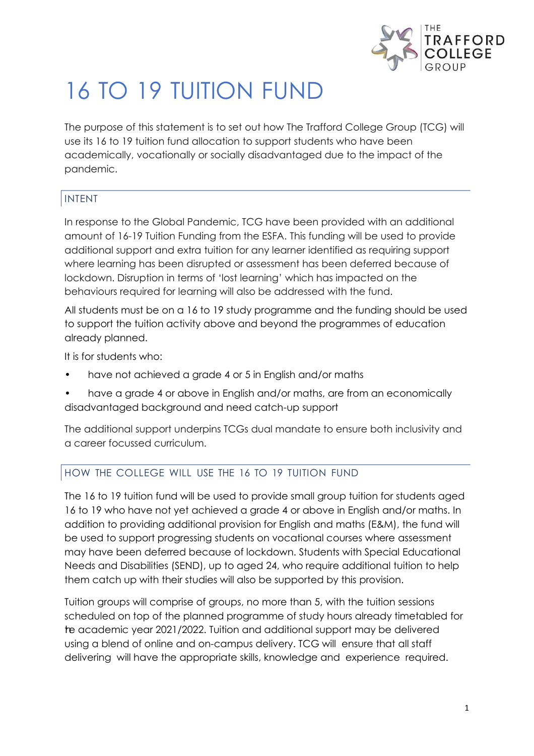

## 16 TO 19 TUITION FUND

The purpose of this statement is to set out how The Trafford College Group (TCG) will use its 16 to 19 tuition fund allocation to support students who have been academically, vocationally or socially disadvantaged due to the impact of the pandemic.

## INTENT

In response to the Global Pandemic, TCG have been provided with an additional amount of 16-19 Tuition Funding from the ESFA. This funding will be used to provide additional support and extra tuition for any learner identified as requiring support where learning has been disrupted or assessment has been deferred because of lockdown. Disruption in terms of 'lost learning' which has impacted on the behaviours required for learning will also be addressed with the fund.

All students must be on a 16 to 19 study programme and the funding should be used to support the tuition activity above and beyond the programmes of education already planned.

It is for students who:

- have not achieved a grade 4 or 5 in English and/or maths
- have a grade 4 or above in English and/or maths, are from an economically disadvantaged background and need catch-up support

The additional support underpins TCGs dual mandate to ensure both inclusivity and a career focussed curriculum.

## HOW THE COLLEGE WILL USE THE 16 TO 19 TUITION FUND

The 16 to 19 tuition fund will be used to provide small group tuition for students aged 16 to 19 who have not yet achieved a grade 4 or above in English and/or maths. In addition to providing additional provision for English and maths (E&M), the fund will be used to support progressing students on vocational courses where assessment may have been deferred because of lockdown. Students with Special Educational Needs and Disabilities (SEND), up to aged 24, who require additional tuition to help them catch up with their studies will also be supported by this provision.

Tuition groups will comprise of groups, no more than 5, with the tuition sessions scheduled on top of the planned programme of study hours already timetabled for the academic year 2021/2022. Tuition and additional support may be delivered using a blend of online and on-campus delivery. TCG will ensure that all staff delivering will have the appropriate skills, knowledge and experience required.